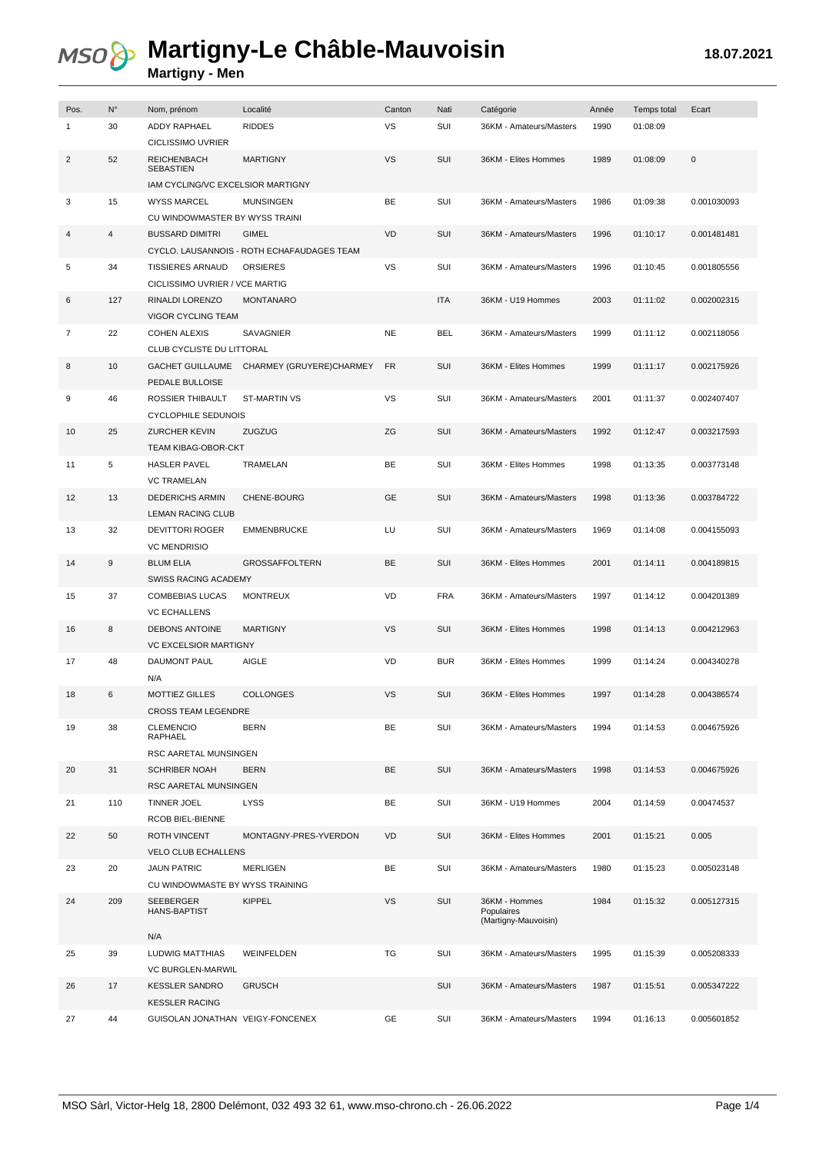## **Martigny-Le Châble-Mauvoisin**

**Martigny - Men**

| Pos.           | $N^{\circ}$      | Nom, prénom                            | Localité                                   | Canton    | Nati       | Catégorie                   | Année | Temps total | Ecart       |
|----------------|------------------|----------------------------------------|--------------------------------------------|-----------|------------|-----------------------------|-------|-------------|-------------|
| $\mathbf{1}$   | 30               | <b>ADDY RAPHAEL</b>                    | <b>RIDDES</b>                              | <b>VS</b> | SUI        | 36KM - Amateurs/Masters     | 1990  | 01:08:09    |             |
|                |                  | <b>CICLISSIMO UVRIER</b>               |                                            |           |            |                             |       |             |             |
| $\overline{2}$ | 52               | <b>REICHENBACH</b><br><b>SEBASTIEN</b> | <b>MARTIGNY</b>                            | <b>VS</b> | SUI        | 36KM - Elites Hommes        | 1989  | 01:08:09    | $\mathsf 0$ |
|                |                  | IAM CYCLING/VC EXCELSIOR MARTIGNY      |                                            |           |            |                             |       |             |             |
| 3              | 15               | <b>WYSS MARCEL</b>                     | <b>MUNSINGEN</b>                           | <b>BE</b> | SUI        | 36KM - Amateurs/Masters     | 1986  | 01:09:38    | 0.001030093 |
|                |                  | CU WINDOWMASTER BY WYSS TRAINI         |                                            |           |            |                             |       |             |             |
| 4              | $\overline{4}$   | <b>BUSSARD DIMITRI</b>                 | <b>GIMEL</b>                               | VD        | SUI        | 36KM - Amateurs/Masters     | 1996  | 01:10:17    | 0.001481481 |
|                |                  |                                        | CYCLO. LAUSANNOIS - ROTH ECHAFAUDAGES TEAM |           |            |                             |       |             |             |
| 5              | 34               | <b>TISSIERES ARNAUD</b>                | <b>ORSIERES</b>                            | <b>VS</b> | SUI        | 36KM - Amateurs/Masters     | 1996  | 01:10:45    | 0.001805556 |
|                |                  | CICLISSIMO UVRIER / VCE MARTIG         |                                            |           |            |                             |       |             |             |
| 6              | 127              | RINALDI LORENZO                        | <b>MONTANARO</b>                           |           | <b>ITA</b> | 36KM - U19 Hommes           | 2003  | 01:11:02    | 0.002002315 |
|                |                  | VIGOR CYCLING TEAM                     |                                            |           |            |                             |       |             |             |
| $\overline{7}$ | 22               | <b>COHEN ALEXIS</b>                    | SAVAGNIER                                  | <b>NE</b> | <b>BEL</b> | 36KM - Amateurs/Masters     | 1999  | 01:11:12    | 0.002118056 |
|                |                  | CLUB CYCLISTE DU LITTORAL              |                                            |           |            |                             |       |             |             |
| 8              | 10               |                                        | GACHET GUILLAUME CHARMEY (GRUYERE)CHARMEY  | <b>FR</b> | SUI        | 36KM - Elites Hommes        | 1999  | 01:11:17    | 0.002175926 |
|                |                  | PEDALE BULLOISE                        |                                            |           |            |                             |       |             |             |
| 9              | 46               | ROSSIER THIBAULT                       | <b>ST-MARTIN VS</b>                        | <b>VS</b> | SUI        | 36KM - Amateurs/Masters     | 2001  | 01:11:37    | 0.002407407 |
|                |                  | <b>CYCLOPHILE SEDUNOIS</b>             |                                            |           |            |                             |       |             |             |
| 10             | 25               | <b>ZURCHER KEVIN</b>                   | <b>ZUGZUG</b>                              | ZG        | SUI        | 36KM - Amateurs/Masters     | 1992  | 01:12:47    | 0.003217593 |
|                |                  | TEAM KIBAG-OBOR-CKT                    |                                            |           |            |                             |       |             |             |
| 11             | 5                | <b>HASLER PAVEL</b>                    | TRAMELAN                                   | BE        | SUI        | 36KM - Elites Hommes        | 1998  | 01:13:35    | 0.003773148 |
|                |                  | <b>VC TRAMELAN</b>                     |                                            |           |            |                             |       |             |             |
| 12             | 13               | <b>DEDERICHS ARMIN</b>                 | CHENE-BOURG                                | <b>GE</b> | SUI        | 36KM - Amateurs/Masters     | 1998  | 01:13:36    | 0.003784722 |
|                |                  | <b>LEMAN RACING CLUB</b>               |                                            |           |            |                             |       |             |             |
| 13             | 32               | <b>DEVITTORI ROGER</b>                 | <b>EMMENBRUCKE</b>                         | LU        | SUI        | 36KM - Amateurs/Masters     | 1969  | 01:14:08    | 0.004155093 |
|                |                  | <b>VC MENDRISIO</b>                    |                                            |           |            |                             |       |             |             |
| 14             | $\boldsymbol{9}$ | <b>BLUM ELIA</b>                       | <b>GROSSAFFOLTERN</b>                      | <b>BE</b> | SUI        | 36KM - Elites Hommes        | 2001  | 01:14:11    | 0.004189815 |
|                |                  | SWISS RACING ACADEMY                   |                                            |           |            |                             |       |             |             |
| 15             | 37               | COMBEBIAS LUCAS                        | <b>MONTREUX</b>                            | <b>VD</b> | <b>FRA</b> | 36KM - Amateurs/Masters     | 1997  | 01:14:12    | 0.004201389 |
|                |                  | <b>VC ECHALLENS</b>                    |                                            |           |            |                             |       |             |             |
| 16             | 8                | <b>DEBONS ANTOINE</b>                  | <b>MARTIGNY</b>                            | <b>VS</b> | SUI        | 36KM - Elites Hommes        | 1998  | 01:14:13    | 0.004212963 |
|                |                  | VC EXCELSIOR MARTIGNY                  |                                            |           |            |                             |       |             |             |
| 17             | 48               | DAUMONT PAUL                           | <b>AIGLE</b>                               | VD        | <b>BUR</b> | 36KM - Elites Hommes        | 1999  | 01:14:24    | 0.004340278 |
|                |                  | N/A                                    |                                            |           |            |                             |       |             |             |
| 18             | 6                | MOTTIEZ GILLES                         | <b>COLLONGES</b>                           | <b>VS</b> | SUI        | 36KM - Elites Hommes        | 1997  | 01:14:28    | 0.004386574 |
|                |                  | <b>CROSS TEAM LEGENDRE</b>             |                                            |           |            |                             |       |             |             |
| 19             | 38               | <b>CLEMENCIO</b>                       | <b>BERN</b>                                | BE        | SUI        | 36KM - Amateurs/Masters     | 1994  | 01:14:53    | 0.004675926 |
|                |                  | RAPHAEL                                |                                            |           |            |                             |       |             |             |
|                |                  | RSC AARETAL MUNSINGEN                  |                                            |           |            |                             |       |             |             |
| 20             | 31               | <b>SCHRIBER NOAH</b>                   | <b>BERN</b>                                | <b>BE</b> | SUI        | 36KM - Amateurs/Masters     | 1998  | 01:14:53    | 0.004675926 |
|                |                  | RSC AARETAL MUNSINGEN                  |                                            |           |            |                             |       |             |             |
| 21             | 110              | <b>TINNER JOEL</b>                     | <b>LYSS</b>                                | BE        | SUI        | 36KM - U19 Hommes           | 2004  | 01:14:59    | 0.00474537  |
|                |                  | RCOB BIEL-BIENNE                       |                                            |           |            |                             |       |             |             |
| 22             | 50               | <b>ROTH VINCENT</b>                    | MONTAGNY-PRES-YVERDON                      | VD        | SUI        | 36KM - Elites Hommes        | 2001  | 01:15:21    | 0.005       |
|                |                  | <b>VELO CLUB ECHALLENS</b>             |                                            |           |            |                             |       |             |             |
| 23             | 20               | <b>JAUN PATRIC</b>                     | <b>MERLIGEN</b>                            | BE        | SUI        | 36KM - Amateurs/Masters     | 1980  | 01:15:23    | 0.005023148 |
|                |                  | CU WINDOWMASTE BY WYSS TRAINING        |                                            |           |            |                             |       |             |             |
| 24             | 209              | SEEBERGER<br>HANS-BAPTIST              | <b>KIPPEL</b>                              | <b>VS</b> | SUI        | 36KM - Hommes<br>Populaires | 1984  | 01:15:32    | 0.005127315 |
|                |                  |                                        |                                            |           |            | (Martigny-Mauvoisin)        |       |             |             |
|                |                  | N/A                                    |                                            |           |            |                             |       |             |             |
| 25             | 39               | <b>LUDWIG MATTHIAS</b>                 | WEINFELDEN                                 | TG        | SUI        | 36KM - Amateurs/Masters     | 1995  | 01:15:39    | 0.005208333 |
|                |                  | VC BURGLEN-MARWIL                      |                                            |           |            |                             |       |             |             |
| 26             | 17               | <b>KESSLER SANDRO</b>                  | <b>GRUSCH</b>                              |           | SUI        | 36KM - Amateurs/Masters     | 1987  | 01:15:51    | 0.005347222 |
|                |                  | <b>KESSLER RACING</b>                  |                                            |           |            |                             |       |             |             |
| 27             | 44               | GUISOLAN JONATHAN VEIGY-FONCENEX       |                                            | <b>GE</b> | SUI        | 36KM - Amateurs/Masters     | 1994  | 01:16:13    | 0.005601852 |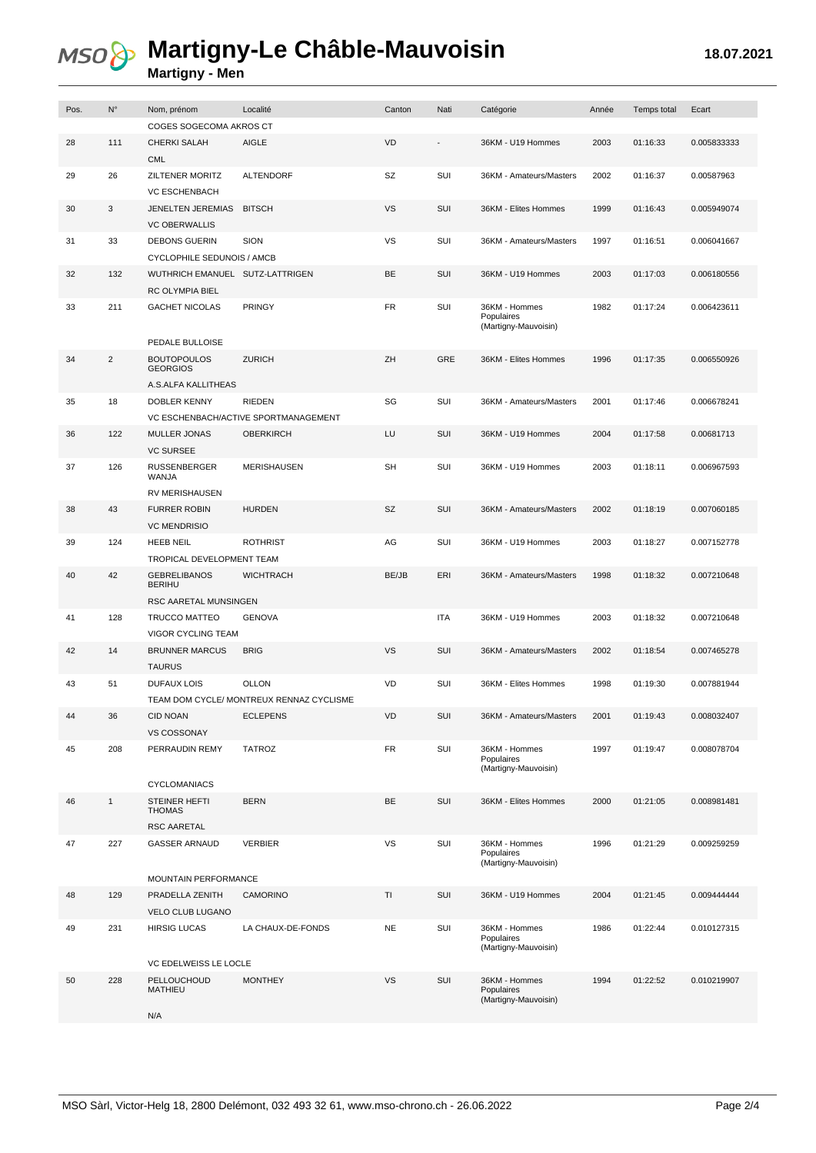## **Martigny-Le Châble-Mauvoisin**

**Martigny - Men**

| Pos. | $N^{\circ}$    | Nom, prénom                                               | Localité                                 | Canton    | Nati       | Catégorie                                           | Année | Temps total | Ecart       |
|------|----------------|-----------------------------------------------------------|------------------------------------------|-----------|------------|-----------------------------------------------------|-------|-------------|-------------|
|      |                | COGES SOGECOMA AKROS CT                                   |                                          |           |            |                                                     |       |             |             |
| 28   | 111            | <b>CHERKI SALAH</b><br><b>CML</b>                         | AIGLE                                    | <b>VD</b> |            | 36KM - U19 Hommes                                   | 2003  | 01:16:33    | 0.005833333 |
| 29   | 26             | <b>ZILTENER MORITZ</b><br><b>VC ESCHENBACH</b>            | <b>ALTENDORF</b>                         | SZ        | SUI        | 36KM - Amateurs/Masters                             | 2002  | 01:16:37    | 0.00587963  |
| 30   | 3              | JENELTEN JEREMIAS<br><b>VC OBERWALLIS</b>                 | <b>BITSCH</b>                            | <b>VS</b> | SUI        | 36KM - Elites Hommes                                | 1999  | 01:16:43    | 0.005949074 |
| 31   | 33             | <b>DEBONS GUERIN</b>                                      | <b>SION</b>                              | VS        | SUI        | 36KM - Amateurs/Masters                             | 1997  | 01:16:51    | 0.006041667 |
|      |                | CYCLOPHILE SEDUNOIS / AMCB                                |                                          |           |            |                                                     |       |             |             |
| 32   | 132            | WUTHRICH EMANUEL SUTZ-LATTRIGEN<br><b>RC OLYMPIA BIEL</b> |                                          | BE        | SUI        | 36KM - U19 Hommes                                   | 2003  | 01:17:03    | 0.006180556 |
| 33   | 211            | <b>GACHET NICOLAS</b><br>PEDALE BULLOISE                  | <b>PRINGY</b>                            | <b>FR</b> | SUI        | 36KM - Hommes<br>Populaires<br>(Martigny-Mauvoisin) | 1982  | 01:17:24    | 0.006423611 |
| 34   | 2              | <b>BOUTOPOULOS</b>                                        | ZURICH                                   | ZH        | GRE        | 36KM - Elites Hommes                                | 1996  | 01:17:35    | 0.006550926 |
|      |                | <b>GEORGIOS</b><br>A.S.ALFA KALLITHEAS                    |                                          |           |            |                                                     |       |             |             |
| 35   | 18             |                                                           |                                          | SG        | SUI        |                                                     |       |             |             |
|      |                | DOBLER KENNY                                              | <b>RIEDEN</b>                            |           |            | 36KM - Amateurs/Masters                             | 2001  | 01:17:46    | 0.006678241 |
|      |                |                                                           | VC ESCHENBACH/ACTIVE SPORTMANAGEMENT     |           |            |                                                     |       |             |             |
| 36   | 122            | <b>MULLER JONAS</b><br><b>VC SURSEE</b>                   | <b>OBERKIRCH</b>                         | LU        | SUI        | 36KM - U19 Hommes                                   | 2004  | 01:17:58    | 0.00681713  |
| 37   | 126            | <b>RUSSENBERGER</b><br>WANJA                              | <b>MERISHAUSEN</b>                       | SH        | SUI        | 36KM - U19 Hommes                                   | 2003  | 01:18:11    | 0.006967593 |
|      |                | RV MERISHAUSEN                                            |                                          |           |            |                                                     |       |             |             |
| 38   | 43             | <b>FURRER ROBIN</b>                                       | <b>HURDEN</b>                            | SZ        | SUI        | 36KM - Amateurs/Masters                             | 2002  | 01:18:19    | 0.007060185 |
|      |                | <b>VC MENDRISIO</b>                                       |                                          |           |            |                                                     |       |             |             |
| 39   | 124            | <b>HEEB NEIL</b><br>TROPICAL DEVELOPMENT TEAM             | <b>ROTHRIST</b>                          | AG        | SUI        | 36KM - U19 Hommes                                   | 2003  | 01:18:27    | 0.007152778 |
| 40   | 42             | <b>GEBRELIBANOS</b><br><b>BERIHU</b>                      | <b>WICHTRACH</b>                         | BE/JB     | ERI        | 36KM - Amateurs/Masters                             | 1998  | 01:18:32    | 0.007210648 |
|      |                | RSC AARETAL MUNSINGEN                                     |                                          |           |            |                                                     |       |             |             |
| 41   | 128            | <b>TRUCCO MATTEO</b>                                      | <b>GENOVA</b>                            |           | <b>ITA</b> | 36KM - U19 Hommes                                   | 2003  | 01:18:32    | 0.007210648 |
|      |                | <b>VIGOR CYCLING TEAM</b>                                 |                                          |           |            |                                                     |       |             |             |
| 42   | 14             | <b>BRUNNER MARCUS</b><br><b>TAURUS</b>                    | <b>BRIG</b>                              | <b>VS</b> | SUI        | 36KM - Amateurs/Masters                             | 2002  | 01:18:54    | 0.007465278 |
| 43   | 51             | <b>DUFAUX LOIS</b>                                        | <b>OLLON</b>                             | <b>VD</b> | SUI        | 36KM - Elites Hommes                                | 1998  | 01:19:30    | 0.007881944 |
|      |                |                                                           | TEAM DOM CYCLE/ MONTREUX RENNAZ CYCLISME |           |            |                                                     |       |             |             |
| 44   | 36             | <b>CID NOAN</b>                                           | <b>ECLEPENS</b>                          | VD        | SUI        | 36KM - Amateurs/Masters                             | 2001  | 01:19:43    | 0.008032407 |
|      |                | <b>VS COSSONAY</b>                                        |                                          |           |            |                                                     |       |             |             |
| 45   | 208            | PERRAUDIN REMY                                            | TATROZ                                   | <b>FR</b> | SUI        | 36KM - Hommes<br>Populaires<br>(Martigny-Mauvoisin) | 1997  | 01:19:47    | 0.008078704 |
|      |                | CYCLOMANIACS                                              |                                          |           |            |                                                     |       |             |             |
| 46   | $\overline{1}$ | STEINER HEFTI<br><b>THOMAS</b><br><b>RSC AARETAL</b>      | <b>BERN</b>                              | BE        | SUI        | 36KM - Elites Hommes                                | 2000  | 01:21:05    | 0.008981481 |
| 47   | 227            | <b>GASSER ARNAUD</b>                                      | <b>VERBIER</b>                           | VS        | SUI        | 36KM - Hommes                                       | 1996  | 01:21:29    | 0.009259259 |
|      |                |                                                           |                                          |           |            | Populaires<br>(Martigny-Mauvoisin)                  |       |             |             |
|      |                | MOUNTAIN PERFORMANCE                                      |                                          |           |            |                                                     |       |             |             |
| 48   | 129            | PRADELLA ZENITH<br>VELO CLUB LUGANO                       | CAMORINO                                 | TI        | SUI        | 36KM - U19 Hommes                                   | 2004  | 01:21:45    | 0.009444444 |
| 49   | 231            | <b>HIRSIG LUCAS</b>                                       | LA CHAUX-DE-FONDS                        | <b>NE</b> | SUI        | 36KM - Hommes<br>Populaires                         | 1986  | 01:22:44    | 0.010127315 |
|      |                |                                                           |                                          |           |            | (Martigny-Mauvoisin)                                |       |             |             |
|      |                | VC EDELWEISS LE LOCLE                                     |                                          |           |            |                                                     |       |             |             |
| 50   | 228            | PELLOUCHOUD<br>MATHIEU                                    | <b>MONTHEY</b>                           | <b>VS</b> | SUI        | 36KM - Hommes<br>Populaires<br>(Martigny-Mauvoisin) | 1994  | 01:22:52    | 0.010219907 |
|      |                | N/A                                                       |                                          |           |            |                                                     |       |             |             |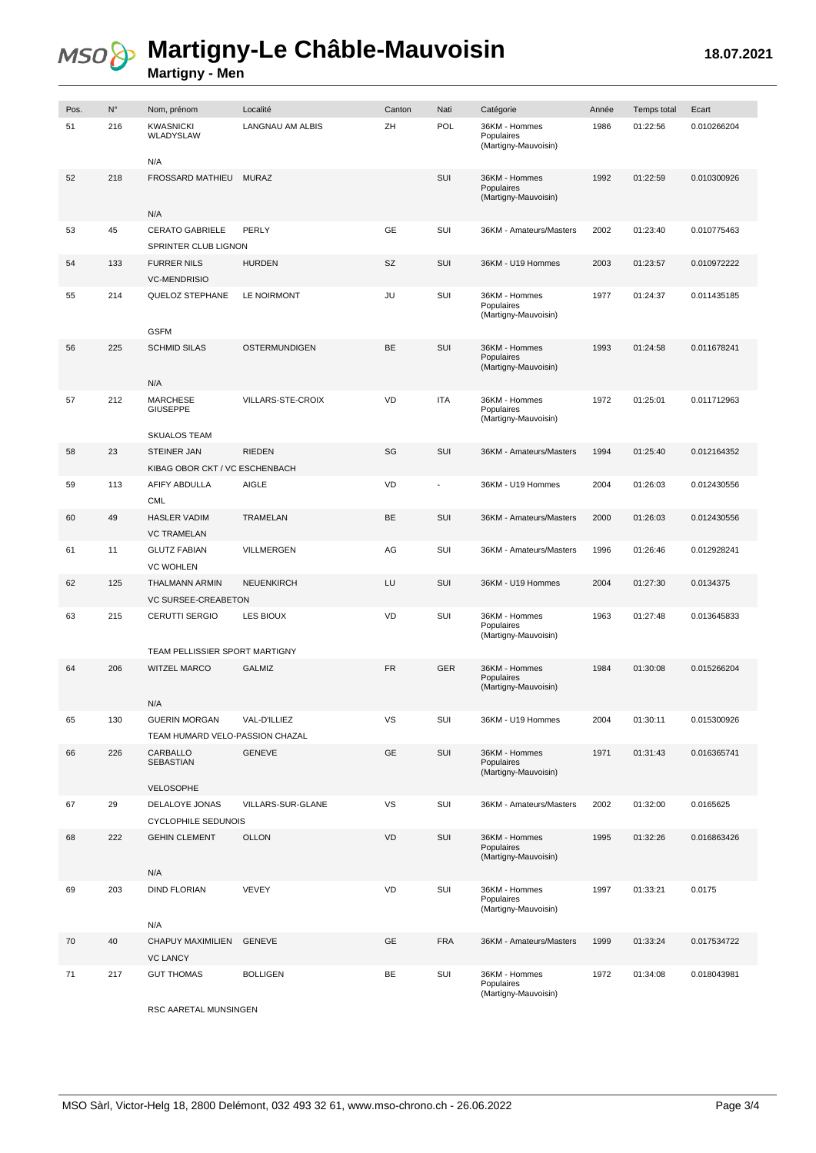# **MSO & Martigny-Le Châble-Mauvoisin**

**Martigny - Men**

| Pos. | $\mathsf{N}^\circ$ | Nom, prénom                                               | Localité          | Canton    | Nati           | Catégorie                                           | Année | Temps total | Ecart       |
|------|--------------------|-----------------------------------------------------------|-------------------|-----------|----------------|-----------------------------------------------------|-------|-------------|-------------|
| 51   | 216                | <b>KWASNICKI</b><br>WLADYSLAW<br>N/A                      | LANGNAU AM ALBIS  | ZH        | POL            | 36KM - Hommes<br>Populaires<br>(Martigny-Mauvoisin) | 1986  | 01:22:56    | 0.010266204 |
| 52   | 218                | <b>FROSSARD MATHIEU</b><br>N/A                            | <b>MURAZ</b>      |           | SUI            | 36KM - Hommes<br>Populaires<br>(Martigny-Mauvoisin) | 1992  | 01:22:59    | 0.010300926 |
| 53   | 45                 | <b>CERATO GABRIELE</b><br>SPRINTER CLUB LIGNON            | PERLY             | <b>GE</b> | SUI            | 36KM - Amateurs/Masters                             | 2002  | 01:23:40    | 0.010775463 |
| 54   | 133                | <b>FURRER NILS</b><br><b>VC-MENDRISIO</b>                 | <b>HURDEN</b>     | SZ        | SUI            | 36KM - U19 Hommes                                   | 2003  | 01:23:57    | 0.010972222 |
| 55   | 214                | QUELOZ STEPHANE<br><b>GSFM</b>                            | LE NOIRMONT       | JU        | SUI            | 36KM - Hommes<br>Populaires<br>(Martigny-Mauvoisin) | 1977  | 01:24:37    | 0.011435185 |
| 56   | 225                | <b>SCHMID SILAS</b><br>N/A                                | OSTERMUNDIGEN     | BE        | SUI            | 36KM - Hommes<br>Populaires<br>(Martigny-Mauvoisin) | 1993  | 01:24:58    | 0.011678241 |
| 57   | 212                | <b>MARCHESE</b><br><b>GIUSEPPE</b><br><b>SKUALOS TEAM</b> | VILLARS-STE-CROIX | <b>VD</b> | <b>ITA</b>     | 36KM - Hommes<br>Populaires<br>(Martigny-Mauvoisin) | 1972  | 01:25:01    | 0.011712963 |
| 58   | 23                 | <b>STEINER JAN</b><br>KIBAG OBOR CKT / VC ESCHENBACH      | <b>RIEDEN</b>     | SG        | SUI            | 36KM - Amateurs/Masters                             | 1994  | 01:25:40    | 0.012164352 |
| 59   | 113                | AFIFY ABDULLA<br><b>CML</b>                               | AIGLE             | VD        | $\blacksquare$ | 36KM - U19 Hommes                                   | 2004  | 01:26:03    | 0.012430556 |
| 60   | 49                 | <b>HASLER VADIM</b><br><b>VC TRAMELAN</b>                 | TRAMELAN          | BE        | SUI            | 36KM - Amateurs/Masters                             | 2000  | 01:26:03    | 0.012430556 |
| 61   | 11                 | <b>GLUTZ FABIAN</b><br><b>VC WOHLEN</b>                   | VILLMERGEN        | AG        | SUI            | 36KM - Amateurs/Masters                             | 1996  | 01:26:46    | 0.012928241 |
| 62   | 125                | THALMANN ARMIN<br>VC SURSEE-CREABETON                     | NEUENKIRCH        | LU        | SUI            | 36KM - U19 Hommes                                   | 2004  | 01:27:30    | 0.0134375   |
| 63   | 215                | CERUTTI SERGIO                                            | <b>LES BIOUX</b>  | VD        | SUI            | 36KM - Hommes<br>Populaires<br>(Martigny-Mauvoisin) | 1963  | 01:27:48    | 0.013645833 |
|      |                    | TEAM PELLISSIER SPORT MARTIGNY                            |                   |           |                |                                                     |       |             |             |
| 64   | 206                | <b>WITZEL MARCO</b><br>N/A                                | <b>GALMIZ</b>     | <b>FR</b> | <b>GER</b>     | 36KM - Hommes<br>Populaires<br>(Martigny-Mauvoisin) | 1984  | 01:30:08    | 0.015266204 |
| 65   | 130                | <b>GUERIN MORGAN</b><br>TEAM HUMARD VELO-PASSION CHAZAL   | VAL-D'ILLIEZ      | VS        | SUI            | 36KM - U19 Hommes                                   | 2004  | 01:30:11    | 0.015300926 |
| 66   | 226                | CARBALLO<br>SEBASTIAN                                     | <b>GENEVE</b>     | <b>GE</b> | SUI            | 36KM - Hommes<br>Populaires<br>(Martigny-Mauvoisin) | 1971  | 01:31:43    | 0.016365741 |
|      |                    | VELOSOPHE                                                 |                   |           |                |                                                     |       |             |             |
| 67   | 29                 | DELALOYE JONAS<br><b>CYCLOPHILE SEDUNOIS</b>              | VILLARS-SUR-GLANE | <b>VS</b> | SUI            | 36KM - Amateurs/Masters                             | 2002  | 01:32:00    | 0.0165625   |
| 68   | 222                | <b>GEHIN CLEMENT</b><br>N/A                               | <b>OLLON</b>      | VD        | SUI            | 36KM - Hommes<br>Populaires<br>(Martigny-Mauvoisin) | 1995  | 01:32:26    | 0.016863426 |
| 69   | 203                | <b>DIND FLORIAN</b><br>N/A                                | VEVEY             | VD        | SUI            | 36KM - Hommes<br>Populaires<br>(Martigny-Mauvoisin) | 1997  | 01:33:21    | 0.0175      |
| 70   | 40                 | CHAPUY MAXIMILIEN<br><b>VC LANCY</b>                      | <b>GENEVE</b>     | <b>GE</b> | <b>FRA</b>     | 36KM - Amateurs/Masters                             | 1999  | 01:33:24    | 0.017534722 |
| 71   | 217                | <b>GUT THOMAS</b>                                         | <b>BOLLIGEN</b>   | BE        | SUI            | 36KM - Hommes<br>Populaires<br>(Martigny-Mauvoisin) | 1972  | 01:34:08    | 0.018043981 |

RSC AARETAL MUNSINGEN